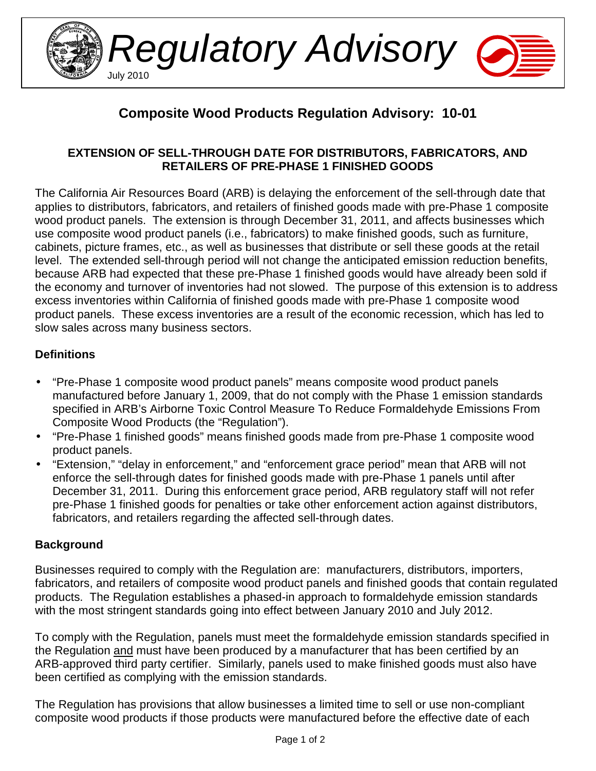

# **Composite Wood Products Regulation Advisory: 10-01**

## **EXTENSION OF SELL-THROUGH DATE FOR DISTRIBUTORS, FABRICATORS, AND RETAILERS OF PRE-PHASE 1 FINISHED GOODS**

The California Air Resources Board (ARB) is delaying the enforcement of the sell-through date that applies to distributors, fabricators, and retailers of finished goods made with pre-Phase 1 composite wood product panels. The extension is through December 31, 2011, and affects businesses which use composite wood product panels (i.e., fabricators) to make finished goods, such as furniture, cabinets, picture frames, etc., as well as businesses that distribute or sell these goods at the retail level. The extended sell-through period will not change the anticipated emission reduction benefits, because ARB had expected that these pre-Phase 1 finished goods would have already been sold if the economy and turnover of inventories had not slowed. The purpose of this extension is to address excess inventories within California of finished goods made with pre-Phase 1 composite wood product panels. These excess inventories are a result of the economic recession, which has led to slow sales across many business sectors.

## **Definitions**

- "Pre-Phase 1 composite wood product panels" means composite wood product panels manufactured before January 1, 2009, that do not comply with the Phase 1 emission standards specified in ARB's Airborne Toxic Control Measure To Reduce Formaldehyde Emissions From Composite Wood Products (the "Regulation").
- "Pre-Phase 1 finished goods" means finished goods made from pre-Phase 1 composite wood product panels.
- "Extension," "delay in enforcement," and "enforcement grace period" mean that ARB will not enforce the sell-through dates for finished goods made with pre-Phase 1 panels until after December 31, 2011. During this enforcement grace period, ARB regulatory staff will not refer pre-Phase 1 finished goods for penalties or take other enforcement action against distributors, fabricators, and retailers regarding the affected sell-through dates.

## **Background**

Businesses required to comply with the Regulation are: manufacturers, distributors, importers, fabricators, and retailers of composite wood product panels and finished goods that contain regulated products. The Regulation establishes a phased-in approach to formaldehyde emission standards with the most stringent standards going into effect between January 2010 and July 2012.

To comply with the Regulation, panels must meet the formaldehyde emission standards specified in the Regulation and must have been produced by a manufacturer that has been certified by an ARB-approved third party certifier. Similarly, panels used to make finished goods must also have been certified as complying with the emission standards.

The Regulation has provisions that allow businesses a limited time to sell or use non-compliant composite wood products if those products were manufactured before the effective date of each